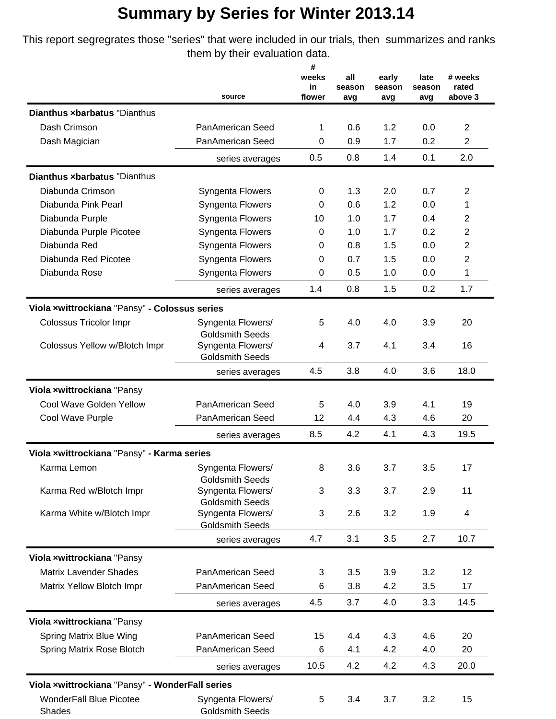## **Summary by Series for Winter 2013.14**

This report segregrates those "series" that were included in our trials, then summarizes and ranks them by their evaluation data.

|                                                 | source                                      | #            | all        | early  | late       | # weeks                          |
|-------------------------------------------------|---------------------------------------------|--------------|------------|--------|------------|----------------------------------|
|                                                 |                                             | weeks        |            |        |            |                                  |
|                                                 |                                             | in<br>flower | season     | season | season     | rated<br>above 3                 |
| <b>Dianthus xbarbatus "Dianthus</b>             |                                             |              | avg        | avg    | avg        |                                  |
| Dash Crimson                                    |                                             |              |            | 1.2    |            |                                  |
|                                                 | PanAmerican Seed<br>PanAmerican Seed        | 1<br>0       | 0.6<br>0.9 | 1.7    | 0.0<br>0.2 | $\overline{2}$<br>$\overline{2}$ |
| Dash Magician                                   |                                             |              |            |        |            |                                  |
|                                                 | series averages                             | 0.5          | 0.8        | 1.4    | 0.1        | 2.0                              |
| Dianthus xbarbatus "Dianthus                    |                                             |              |            |        |            |                                  |
| Diabunda Crimson                                | Syngenta Flowers                            | 0            | 1.3        | 2.0    | 0.7        | $\overline{2}$                   |
| Diabunda Pink Pearl                             | Syngenta Flowers                            | 0            | 0.6        | 1.2    | 0.0        | 1                                |
| Diabunda Purple                                 | Syngenta Flowers                            | 10           | 1.0        | 1.7    | 0.4        | $\overline{2}$                   |
| Diabunda Purple Picotee                         | Syngenta Flowers                            | 0            | 1.0        | 1.7    | 0.2        | $\overline{2}$                   |
| Diabunda Red                                    | Syngenta Flowers                            | 0            | 0.8        | 1.5    | 0.0        | $\overline{2}$                   |
| Diabunda Red Picotee                            | Syngenta Flowers                            | 0            | 0.7        | 1.5    | 0.0        | $\overline{2}$                   |
| Diabunda Rose                                   | Syngenta Flowers                            | 0            | 0.5        | 1.0    | 0.0        | 1                                |
|                                                 | series averages                             | 1.4          | 0.8        | 1.5    | 0.2        | 1.7                              |
| Viola xwittrockiana "Pansy" - Colossus series   |                                             |              |            |        |            |                                  |
| <b>Colossus Tricolor Impr</b>                   | Syngenta Flowers/                           | 5            | 4.0        | 4.0    | 3.9        | 20                               |
|                                                 | <b>Goldsmith Seeds</b>                      |              |            |        |            |                                  |
| Colossus Yellow w/Blotch Impr                   | Syngenta Flowers/                           | 4            | 3.7        | 4.1    | 3.4        | 16                               |
|                                                 | <b>Goldsmith Seeds</b>                      |              |            |        |            |                                  |
|                                                 | series averages                             | 4.5          | 3.8        | 4.0    | 3.6        | 18.0                             |
| Viola xwittrockiana "Pansy                      |                                             |              |            |        |            |                                  |
| Cool Wave Golden Yellow                         | PanAmerican Seed                            | 5            | 4.0        | 3.9    | 4.1        | 19                               |
| Cool Wave Purple                                | <b>PanAmerican Seed</b>                     | 12           | 4.4        | 4.3    | 4.6        | 20                               |
|                                                 | series averages                             | 8.5          | 4.2        | 4.1    | 4.3        | 19.5                             |
| Viola xwittrockiana "Pansy" - Karma series      |                                             |              |            |        |            |                                  |
| Karma Lemon                                     | Syngenta Flowers/                           | 8            | 3.6        | 3.7    | 3.5        | 17                               |
|                                                 | <b>Goldsmith Seeds</b>                      |              |            |        |            |                                  |
| Karma Red w/Blotch Impr                         | Syngenta Flowers/                           | 3            | 3.3        | 3.7    | 2.9        | 11                               |
| Karma White w/Blotch Impr                       | <b>Goldsmith Seeds</b>                      |              |            |        |            |                                  |
|                                                 | Syngenta Flowers/<br><b>Goldsmith Seeds</b> | 3            | 2.6        | 3.2    | 1.9        | 4                                |
|                                                 | series averages                             | 4.7          | 3.1        | 3.5    | 2.7        | 10.7                             |
| Viola xwittrockiana "Pansy                      |                                             |              |            |        |            |                                  |
| <b>Matrix Lavender Shades</b>                   | PanAmerican Seed                            | 3            | 3.5        | 3.9    | 3.2        | 12                               |
|                                                 | PanAmerican Seed                            | 6            | 3.8        | 4.2    | 3.5        | 17                               |
| Matrix Yellow Blotch Impr                       |                                             |              |            |        |            |                                  |
|                                                 | series averages                             | 4.5          | 3.7        | 4.0    | 3.3        | 14.5                             |
| Viola xwittrockiana "Pansy                      |                                             |              |            |        |            |                                  |
| Spring Matrix Blue Wing                         | PanAmerican Seed                            | 15           | 4.4        | 4.3    | 4.6        | 20                               |
| Spring Matrix Rose Blotch                       | PanAmerican Seed                            | 6            | 4.1        | 4.2    | 4.0        | 20                               |
|                                                 | series averages                             | 10.5         | 4.2        | 4.2    | 4.3        | 20.0                             |
| Viola xwittrockiana "Pansy" - WonderFall series |                                             |              |            |        |            |                                  |
| <b>WonderFall Blue Picotee</b>                  | Syngenta Flowers/                           | 5            | 3.4        | 3.7    | 3.2        | 15                               |
| Shades                                          | <b>Goldsmith Seeds</b>                      |              |            |        |            |                                  |